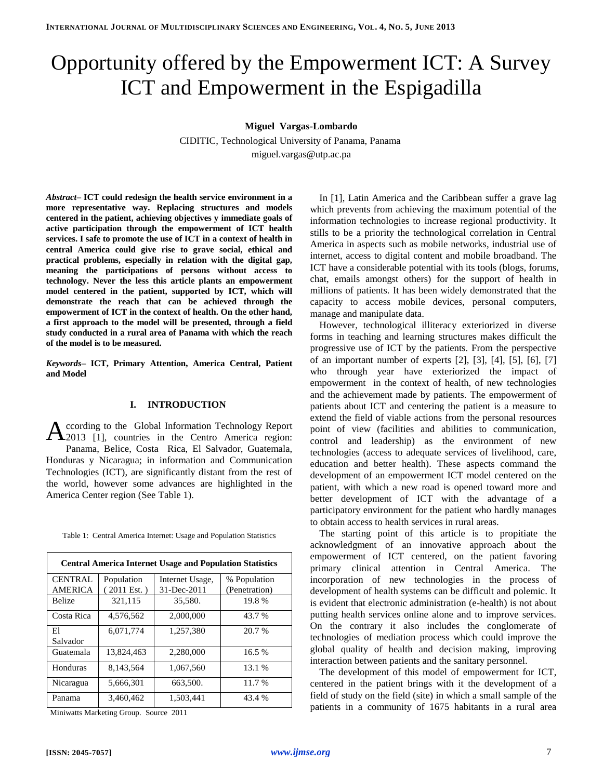# Opportunity offered by the Empowerment ICT: A Survey ICT and Empowerment in the Espigadilla

**Miguel Vargas-Lombardo**

CIDITIC, Technological University of Panama, Panama miguel.vargas@utp.ac.pa

*Abstract–* **ICT could redesign the health service environment in a more representative way. Replacing structures and models centered in the patient, achieving objectives y immediate goals of active participation through the empowerment of ICT health services. I safe to promote the use of ICT in a context of health in central America could give rise to grave social, ethical and practical problems, especially in relation with the digital gap, meaning the participations of persons without access to technology. Never the less this article plants an empowerment model centered in the patient, supported by ICT, which will demonstrate the reach that can be achieved through the empowerment of ICT in the context of health. On the other hand, a first approach to the model will be presented, through a field study conducted in a rural area of Panama with which the reach of the model is to be measured.**

*Keywords–* **ICT, Primary Attention, America Central, Patient and Model**

#### **I. INTRODUCTION**

ccording to the Global Information Technology Report According to the Global Information Technology Report 2013 [\[1\]](#page-4-0), countries in the Centro America region: Panama, Belice, Costa Rica, El Salvador, Guatemala, Honduras y Nicaragua; in information and Communication Technologies (ICT), are significantly distant from the rest of the world, however some advances are highlighted in the America Center region (See Table 1).

|  |  |  |  |  | Table 1: Central America Internet: Usage and Population Statistics |  |
|--|--|--|--|--|--------------------------------------------------------------------|--|
|--|--|--|--|--|--------------------------------------------------------------------|--|

| <b>Central America Internet Usage and Population Statistics</b> |                       |                 |               |  |
|-----------------------------------------------------------------|-----------------------|-----------------|---------------|--|
| <b>CENTRAL</b>                                                  | Population            | Internet Usage, | % Population  |  |
| <b>AMERICA</b>                                                  | $(2011 \text{ Est.})$ | 31-Dec-2011     | (Penetration) |  |
| <b>Belize</b>                                                   | 321,115               | 35,580.         | 19.8%         |  |
| Costa Rica                                                      | 4,576,562             | 2,000,000       | 43.7 %        |  |
| El                                                              | 6.071.774             | 1.257.380       | 20.7 %        |  |
| Salvador                                                        |                       |                 |               |  |
| Guatemala                                                       | 13,824,463            | 2,280,000       | 16.5 %        |  |
| Honduras                                                        | 8.143.564             | 1.067.560       | 13.1 %        |  |
| Nicaragua                                                       | 5,666,301             | 663,500.        | 11.7 %        |  |
| Panama                                                          | 3,460,462             | 1.503.441       | 43.4 %        |  |

Miniwatts Marketing Group. Source 2011

In [\[1\]](#page-4-0), Latin America and the Caribbean suffer a grave lag which prevents from achieving the maximum potential of the information technologies to increase regional productivity. It stills to be a priority the technological correlation in Central America in aspects such as mobile networks, industrial use of internet, access to digital content and mobile broadband. The ICT have a considerable potential with its tools (blogs, forums, chat, emails amongst others) for the support of health in millions of patients. It has been widely demonstrated that the capacity to access mobile devices, personal computers, manage and manipulate data.

However, technological illiteracy exteriorized in diverse forms in teaching and learning structures makes difficult the progressive use of ICT by the patients. From the perspective of an important number of experts [\[2\]](#page-4-1), [\[3\]](#page-4-2), [\[4\]](#page-4-3), [\[5\]](#page-4-4), [\[6\]](#page-4-5), [\[7\]](#page-4-6) who through year have exteriorized the impact of empowerment in the context of health, of new technologies and the achievement made by patients. The empowerment of patients about ICT and centering the patient is a measure to extend the field of viable actions from the personal resources point of view (facilities and abilities to communication, control and leadership) as the environment of new technologies (access to adequate services of livelihood, care, education and better health). These aspects command the development of an empowerment ICT model centered on the patient, with which a new road is opened toward more and better development of ICT with the advantage of a participatory environment for the patient who hardly manages to obtain access to health services in rural areas.

The starting point of this article is to propitiate the acknowledgment of an innovative approach about the empowerment of ICT centered, on the patient favoring primary clinical attention in Central America. The incorporation of new technologies in the process of development of health systems can be difficult and polemic. It is evident that electronic administration (e-health) is not about putting health services online alone and to improve services. On the contrary it also includes the conglomerate of technologies of mediation process which could improve the global quality of health and decision making, improving interaction between patients and the sanitary personnel.

The development of this model of empowerment for ICT, centered in the patient brings with it the development of a field of study on the field (site) in which a small sample of the patients in a community of 1675 habitants in a rural area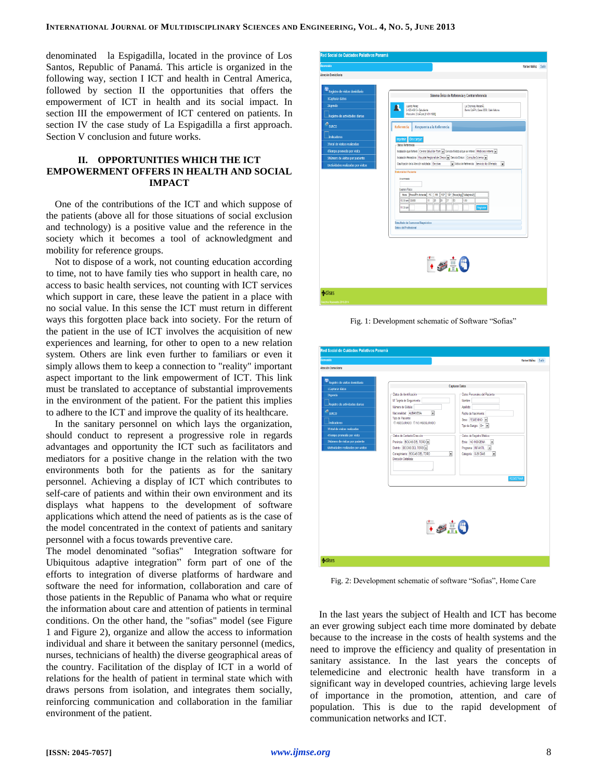denominated la Espigadilla, located in the province of Los Santos, Republic of Panamá. This article is organized in the following way, section I ICT and health in Central America, followed by section II the opportunities that offers the empowerment of ICT in health and its social impact. In section III the empowerment of ICT centered on patients. In section IV the case study of La Espigadilla a first approach. Section V conclusion and future works.

# **II. OPPORTUNITIES WHICH THE ICT EMPOWERMENT OFFERS IN HEALTH AND SOCIAL IMPACT**

One of the contributions of the ICT and which suppose of the patients (above all for those situations of social exclusion and technology) is a positive value and the reference in the society which it becomes a tool of acknowledgment and mobility for reference groups.

Not to dispose of a work, not counting education according to time, not to have family ties who support in health care, no access to basic health services, not counting with ICT services which support in care, these leave the patient in a place with no social value. In this sense the ICT must return in different ways this forgotten place back into society. For the return of the patient in the use of ICT involves the acquisition of new experiences and learning, for other to open to a new relation system. Others are link even further to familiars or even it simply allows them to keep a connection to "reality" important aspect important to the link empowerment of ICT. This link must be translated to acceptance of substantial improvements in the environment of the patient. For the patient this implies to adhere to the ICT and improve the quality of its healthcare.

In the sanitary personnel on which lays the organization, should conduct to represent a progressive role in regards advantages and opportunity the ICT such as facilitators and mediators for a positive change in the relation with the two environments both for the patients as for the sanitary personnel. Achieving a display of ICT which contributes to self-care of patients and within their own environment and its displays what happens to the development of software applications which attend the need of patients as is the case of the model concentrated in the context of patients and sanitary personnel with a focus towards preventive care.

The model denominated "sofias" Integration software for Ubiquitous adaptive integration" form part of one of the efforts to integration of diverse platforms of hardware and software the need for information, collaboration and care of those patients in the Republic of Panama who what or require the information about care and attention of patients in terminal conditions. On the other hand, the "sofias" model (see Figure 1 and Figure 2), organize and allow the access to information individual and share it between the sanitary personnel (medics, nurses, technicians of health) the diverse geographical areas of the country. Facilitation of the display of ICT in a world of relations for the health of patient in terminal state which with draws persons from isolation, and integrates them socially, reinforcing communication and collaboration in the familiar environment of the patient.



Fig. 1: Development schematic of Software "Sofias"

| domento                                     |                                                           |                                                                      | <b>Yarisel Núñez</b> Salir |  |
|---------------------------------------------|-----------------------------------------------------------|----------------------------------------------------------------------|----------------------------|--|
| <b>Atención Domiciliaria</b>                |                                                           |                                                                      |                            |  |
| Registro de visitas domiciliaria            |                                                           |                                                                      |                            |  |
| 1Capturar datos                             |                                                           | Capturar Datos                                                       |                            |  |
| 2Agenda                                     | -Datos de Identificación                                  | Datos Personales del Paciente                                        |                            |  |
| Registro de actividades diarias             | Nº Tarjeta de Seguimiento:<br>Número de Cédula:           | Nombre:<br>Apellido:                                                 |                            |  |
| $\sigma_{\rm SIRCO}$                        | $\overline{\phantom{a}}$<br>Nacionalidad: ALBANESA        | Fecha de Nacimiento:                                                 |                            |  |
|                                             | Tipo de Paciente:                                         | Sexo: FEMENNO -                                                      |                            |  |
| Indicadores<br>3Total de visitas realizadas | @ ASEGURADO @ NO ASEGURADO                                | Tipo de Sangre: 0+                                                   |                            |  |
| 4Tiempo promedio por visita                 | Datos de Contacto/Direccón                                |                                                                      |                            |  |
| SNúmero de visitas por paciente             | Provincia: BOCAS DEL TORO                                 | Datos de Registro Médico<br>Etnia: NO INDIGENA<br>$\pmb{\mathsf{v}}$ |                            |  |
| 6Actividades realizadas por visitas         | Distrito: BOCAS DEL TORO                                  | Programa: INFANTL =                                                  |                            |  |
|                                             | $\overline{\phantom{a}}$<br>Corregimiento: BOCAS DEL TORO | ∍<br>Categoria: 0-29 DÍAS                                            |                            |  |
|                                             | Dirección Detallada:                                      |                                                                      |                            |  |
|                                             |                                                           |                                                                      |                            |  |
|                                             |                                                           |                                                                      |                            |  |
|                                             |                                                           |                                                                      | <b>REGISTRAR</b>           |  |
|                                             |                                                           |                                                                      |                            |  |
|                                             |                                                           |                                                                      |                            |  |
|                                             |                                                           |                                                                      |                            |  |
|                                             |                                                           |                                                                      |                            |  |
|                                             |                                                           |                                                                      |                            |  |
|                                             |                                                           |                                                                      |                            |  |
|                                             | $\frac{1}{2}$ $\frac{1}{2}$ $\frac{1}{2}$                 |                                                                      |                            |  |
|                                             |                                                           |                                                                      |                            |  |
|                                             |                                                           |                                                                      |                            |  |
|                                             |                                                           |                                                                      |                            |  |
|                                             |                                                           |                                                                      |                            |  |
|                                             |                                                           |                                                                      |                            |  |

Fig. 2: Development schematic of software "Sofias", Home Care

In the last years the subject of Health and ICT has become an ever growing subject each time more dominated by debate because to the increase in the costs of health systems and the need to improve the efficiency and quality of presentation in sanitary assistance. In the last years the concepts of telemedicine and electronic health have transform in a significant way in developed countries, achieving large levels of importance in the promotion, attention, and care of population. This is due to the rapid development of communication networks and ICT.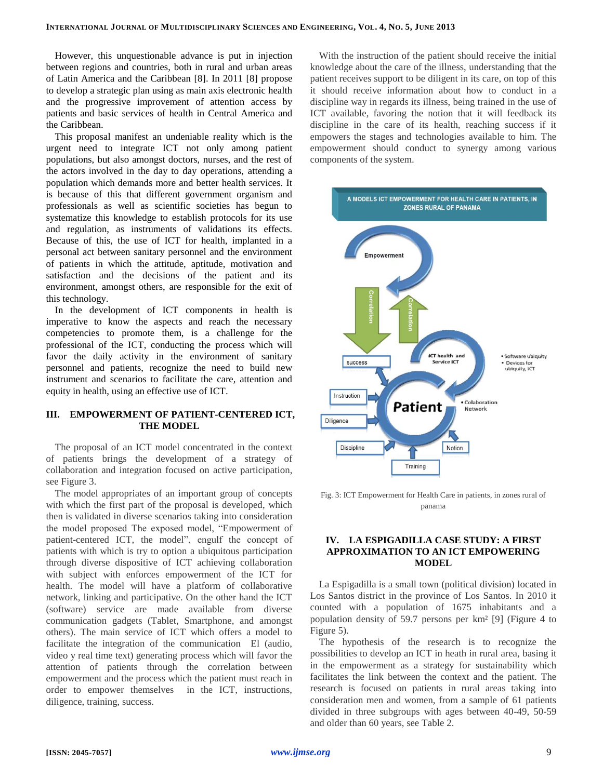However, this unquestionable advance is put in injection between regions and countries, both in rural and urban areas of Latin America and the Caribbean [\[8\]](#page-4-7). In 2011 [\[8\]](#page-4-7) propose to develop a strategic plan using as main axis electronic health and the progressive improvement of attention access by patients and basic services of health in Central America and the Caribbean.

This proposal manifest an undeniable reality which is the urgent need to integrate ICT not only among patient populations, but also amongst doctors, nurses, and the rest of the actors involved in the day to day operations, attending a population which demands more and better health services. It is because of this that different government organism and professionals as well as scientific societies has begun to systematize this knowledge to establish protocols for its use and regulation, as instruments of validations its effects. Because of this, the use of ICT for health, implanted in a personal act between sanitary personnel and the environment of patients in which the attitude, aptitude, motivation and satisfaction and the decisions of the patient and its environment, amongst others, are responsible for the exit of this technology.

In the development of ICT components in health is imperative to know the aspects and reach the necessary competencies to promote them, is a challenge for the professional of the ICT, conducting the process which will favor the daily activity in the environment of sanitary personnel and patients, recognize the need to build new instrument and scenarios to facilitate the care, attention and equity in health, using an effective use of ICT.

# **III. EMPOWERMENT OF PATIENT-CENTERED ICT, THE MODEL**

The proposal of an ICT model concentrated in the context of patients brings the development of a strategy of collaboration and integration focused on active participation, see Figure 3.

The model appropriates of an important group of concepts with which the first part of the proposal is developed, which then is validated in diverse scenarios taking into consideration the model proposed The exposed model, "Empowerment of patient-centered ICT, the model", engulf the concept of patients with which is try to option a ubiquitous participation through diverse dispositive of ICT achieving collaboration with subject with enforces empowerment of the ICT for health. The model will have a platform of collaborative network, linking and participative. On the other hand the ICT (software) service are made available from diverse communication gadgets (Tablet, Smartphone, and amongst others). The main service of ICT which offers a model to facilitate the integration of the communication El (audio, video y real time text) generating process which will favor the attention of patients through the correlation between empowerment and the process which the patient must reach in order to empower themselves in the ICT, instructions, diligence, training, success.

With the instruction of the patient should receive the initial knowledge about the care of the illness, understanding that the patient receives support to be diligent in its care, on top of this it should receive information about how to conduct in a discipline way in regards its illness, being trained in the use of ICT available, favoring the notion that it will feedback its discipline in the care of its health, reaching success if it empowers the stages and technologies available to him. The empowerment should conduct to synergy among various components of the system.



Fig. 3: ICT Empowerment for Health Care in patients, in zones rural of panama

# **IV. LA ESPIGADILLA CASE STUDY: A FIRST APPROXIMATION TO AN ICT EMPOWERING MODEL**

La Espigadilla is a small town (political division) located in Los Santos district in the province of Los Santos. In 2010 it counted with a population of 1675 inhabitants and a population density of 59.7 persons per km² [\[9\]](#page-4-8) (Figure 4 to Figure 5).

The hypothesis of the research is to recognize the possibilities to develop an ICT in heath in rural area, basing it in the empowerment as a strategy for sustainability which facilitates the link between the context and the patient. The research is focused on patients in rural areas taking into consideration men and women, from a sample of 61 patients divided in three subgroups with ages between 40-49, 50-59 and older than 60 years, see Table 2.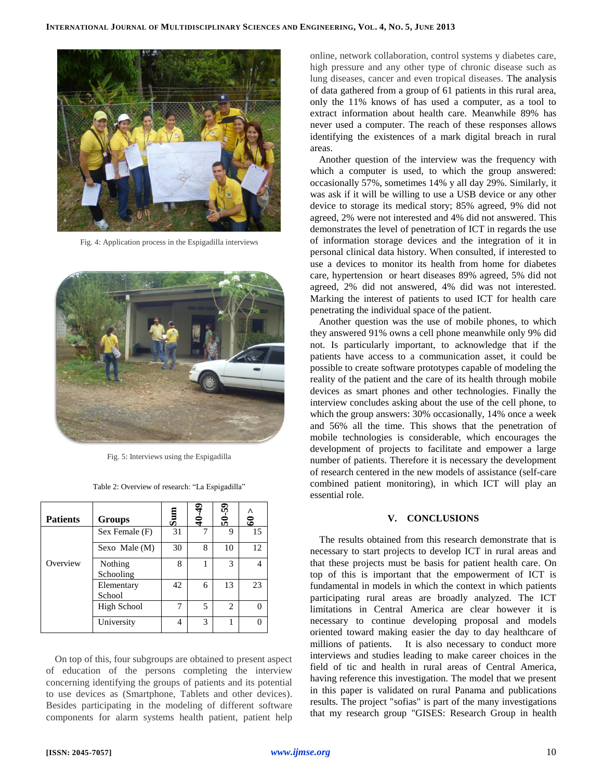

Fig. 4: Application process in the Espigadilla interviews



Fig. 5: Interviews using the Espigadilla

| <b>Patients</b> | Groups               | ಕೆ | $rac{4}{4}$ | $50 - 59$      | Λ<br>ತಿ |
|-----------------|----------------------|----|-------------|----------------|---------|
|                 | Sex Female (F)       | 31 |             | 9              | 15      |
|                 | Sexo Male (M)        | 30 | 8           | 10             | 12      |
| Overview        | Nothing<br>Schooling | 8  |             | 3              |         |
|                 | Elementary<br>School | 42 | 6           | 13             | 23      |
|                 | High School          |    | 5           | $\overline{c}$ |         |
|                 | University           | 4  | 3           |                |         |

On top of this, four subgroups are obtained to present aspect of education of the persons completing the interview concerning identifying the groups of patients and its potential to use devices as (Smartphone, Tablets and other devices). Besides participating in the modeling of different software components for alarm systems health patient, patient help online, network collaboration, control systems y diabetes care, high pressure and any other type of chronic disease such as lung diseases, cancer and even tropical diseases. The analysis of data gathered from a group of 61 patients in this rural area, only the 11% knows of has used a computer, as a tool to extract information about health care. Meanwhile 89% has never used a computer. The reach of these responses allows identifying the existences of a mark digital breach in rural areas.

Another question of the interview was the frequency with which a computer is used, to which the group answered: occasionally 57%, sometimes 14% y all day 29%. Similarly, it was ask if it will be willing to use a USB device or any other device to storage its medical story; 85% agreed, 9% did not agreed, 2% were not interested and 4% did not answered. This demonstrates the level of penetration of ICT in regards the use of information storage devices and the integration of it in personal clinical data history. When consulted, if interested to use a devices to monitor its health from home for diabetes care, hypertension or heart diseases 89% agreed, 5% did not agreed, 2% did not answered, 4% did was not interested. Marking the interest of patients to used ICT for health care penetrating the individual space of the patient.

Another question was the use of mobile phones, to which they answered 91% owns a cell phone meanwhile only 9% did not. Is particularly important, to acknowledge that if the patients have access to a communication asset, it could be possible to create software prototypes capable of modeling the reality of the patient and the care of its health through mobile devices as smart phones and other technologies. Finally the interview concludes asking about the use of the cell phone, to which the group answers: 30% occasionally, 14% once a week and 56% all the time. This shows that the penetration of mobile technologies is considerable, which encourages the development of projects to facilitate and empower a large number of patients. Therefore it is necessary the development of research centered in the new models of assistance (self-care combined patient monitoring), in which ICT will play an essential role.

### **V. CONCLUSIONS**

The results obtained from this research demonstrate that is necessary to start projects to develop ICT in rural areas and that these projects must be basis for patient health care. On top of this is important that the empowerment of ICT is fundamental in models in which the context in which patients participating rural areas are broadly analyzed. The ICT limitations in Central America are clear however it is necessary to continue developing proposal and models oriented toward making easier the day to day healthcare of millions of patients. It is also necessary to conduct more interviews and studies leading to make career choices in the field of tic and health in rural areas of Central America, having reference this investigation. The model that we present in this paper is validated on rural Panama and publications results. The project "sofias" is part of the many investigations that my research group "GISES: Research Group in health